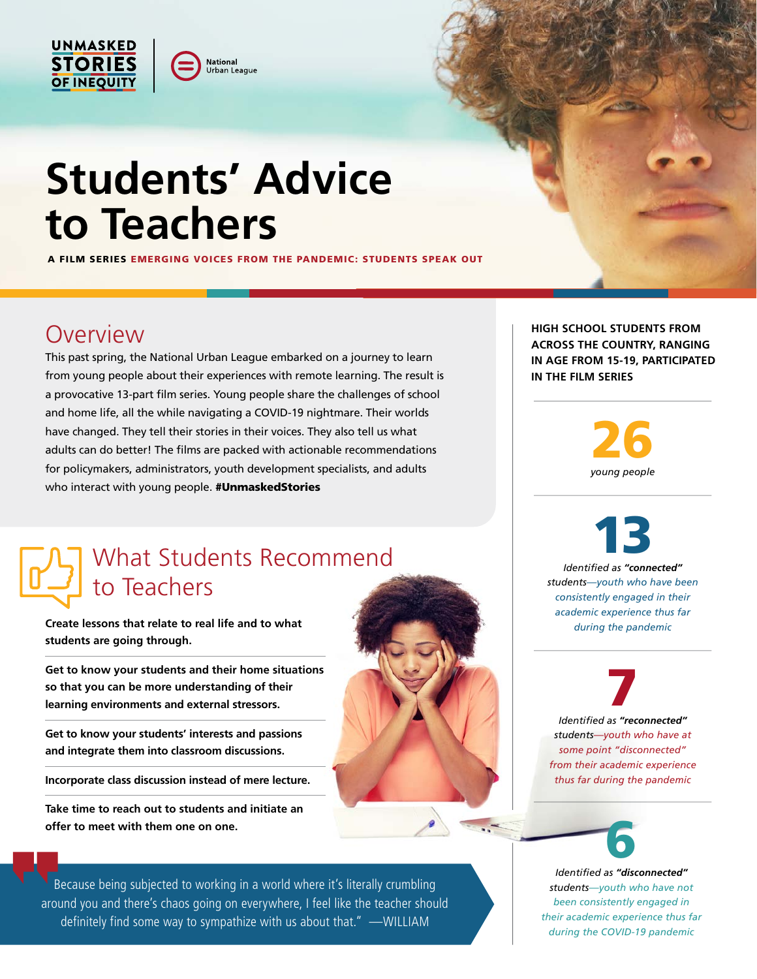

## **Students' Advice to Teachers**

lational Urban League

A FILM SERIES EMERGING VOICES FROM THE PANDEMIC: STUDENTS SPEAK OUT

## **Overview**

This past spring, the National Urban League embarked on a journey to learn from young people about their experiences with remote learning. The result is a provocative 13-part film series. Young people share the challenges of school and home life, all the while navigating a COVID-19 nightmare. Their worlds have changed. They tell their stories in their voices. They also tell us what adults can do better! The films are packed with actionable recommendations for policymakers, administrators, youth development specialists, and adults who interact with young people. #UnmaskedStories

## What Students Recommend to Teachers

**Create lessons that relate to real life and to what students are going through.**

**Get to know your students and their home situations so that you can be more understanding of their learning environments and external stressors.**

**Get to know your students' interests and passions and integrate them into classroom discussions.**

**Incorporate class discussion instead of mere lecture.**

**Take time to reach out to students and initiate an offer to meet with them one on one.**

Because being subjected to working in a world where it's literally crumbling around you and there's chaos going on everywhere, I feel like the teacher should definitely find some way to sympathize with us about that." —WILLIAM

**HIGH SCHOOL STUDENTS FROM ACROSS THE COUNTRY, RANGING IN AGE FROM 15-19, PARTICIPATED IN THE FILM SERIES** 

> 26 *young people*

13 *Identified as "connected" students—youth who have been consistently engaged in their academic experience thus far during the pandemic* 

7 *Identified as "reconnected" students—youth who have at some point "disconnected" from their academic experience thus far during the pandemic* 



*Identified as "disconnected" students—youth who have not been consistently engaged in their academic experience thus far during the COVID-19 pandemic*